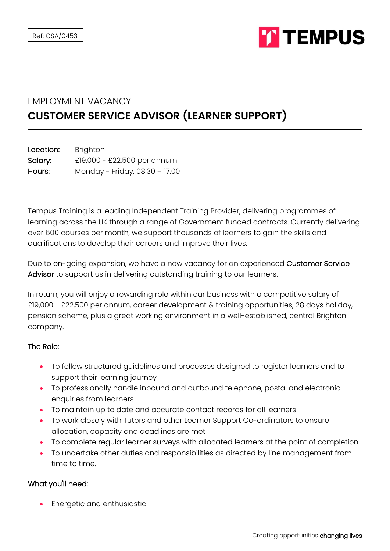

## EMPLOYMENT VACANCY **CUSTOMER SERVICE ADVISOR (LEARNER SUPPORT)**

| Location: | <b>Brighton</b>                |
|-----------|--------------------------------|
| Salary:   | £19,000 - £22,500 per annum    |
| Hours:    | Monday - Friday, 08.30 - 17.00 |

Tempus Training is a leading Independent Training Provider, delivering programmes of learning across the UK through a range of Government funded contracts. Currently delivering over 600 courses per month, we support thousands of learners to gain the skills and qualifications to develop their careers and improve their lives.

Due to on-going expansion, we have a new vacancy for an experienced Customer Service Advisor to support us in delivering outstanding training to our learners.

In return, you will enjoy a rewarding role within our business with a competitive salary of £19,000 - £22,500 per annum, career development & training opportunities, 28 days holiday, pension scheme, plus a great working environment in a well-established, central Brighton company.

## The Role:

- To follow structured guidelines and processes designed to register learners and to support their learning journey
- To professionally handle inbound and outbound telephone, postal and electronic enquiries from learners
- To maintain up to date and accurate contact records for all learners
- To work closely with Tutors and other Learner Support Co-ordinators to ensure allocation, capacity and deadlines are met
- To complete regular learner surveys with allocated learners at the point of completion.
- To undertake other duties and responsibilities as directed by line management from time to time.

## What you'll need:

• Energetic and enthusiastic